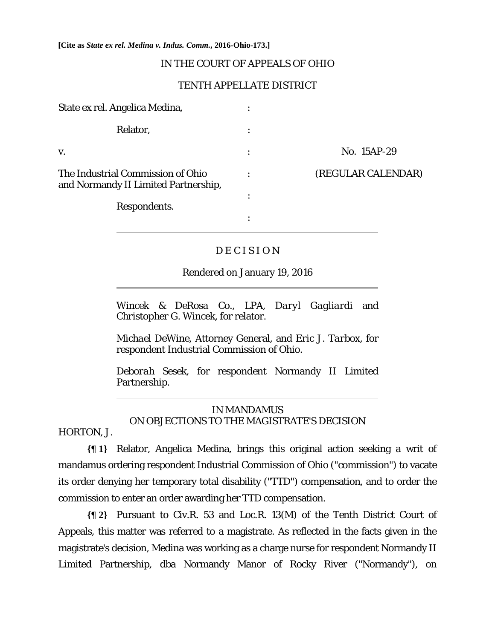**[Cite as** *State ex rel. Medina v. Indus. Comm.***, 2016-Ohio-173.]**

### IN THE COURT OF APPEALS OF OHIO

#### TENTH APPELLATE DISTRICT

| State ex rel. Angelica Medina,                                            |   |                    |
|---------------------------------------------------------------------------|---|--------------------|
| Relator,                                                                  |   |                    |
| V.                                                                        |   | No. 15AP-29        |
| The Industrial Commission of Ohio<br>and Normandy II Limited Partnership, | ٠ | (REGULAR CALENDAR) |
| Respondents.                                                              | ٠ |                    |
|                                                                           | ٠ |                    |

# DECISION

### Rendered on January 19, 2016

*Wincek & DeRosa Co., LPA, Daryl Gagliardi* and *Christopher G. Wincek,* for relator.

*Michael DeWine*, Attorney General, and *Eric J. Tarbox,* for respondent Industrial Commission of Ohio.

*Deborah Sesek,* for respondent Normandy II Limited Partnership.

## IN MANDAMUS ON OBJECTIONS TO THE MAGISTRATE'S DECISION

HORTON, J.

 $\overline{a}$ 

l

**{¶ 1}** Relator, Angelica Medina, brings this original action seeking a writ of mandamus ordering respondent Industrial Commission of Ohio ("commission") to vacate its order denying her temporary total disability ("TTD") compensation, and to order the commission to enter an order awarding her TTD compensation.

**{¶ 2}** Pursuant to Civ.R. 53 and Loc.R. 13(M) of the Tenth District Court of Appeals, this matter was referred to a magistrate. As reflected in the facts given in the magistrate's decision, Medina was working as a charge nurse for respondent Normandy II Limited Partnership, dba Normandy Manor of Rocky River ("Normandy"), on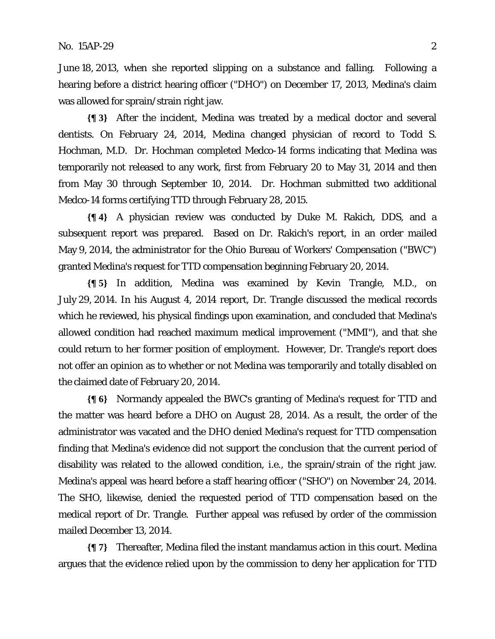June 18, 2013, when she reported slipping on a substance and falling. Following a hearing before a district hearing officer ("DHO") on December 17, 2013, Medina's claim was allowed for sprain/strain right jaw.

**{¶ 3}** After the incident, Medina was treated by a medical doctor and several dentists. On February 24, 2014, Medina changed physician of record to Todd S. Hochman, M.D. Dr. Hochman completed Medco-14 forms indicating that Medina was temporarily not released to any work, first from February 20 to May 31, 2014 and then from May 30 through September 10, 2014. Dr. Hochman submitted two additional Medco-14 forms certifying TTD through February 28, 2015.

**{¶ 4}** A physician review was conducted by Duke M. Rakich, DDS, and a subsequent report was prepared. Based on Dr. Rakich's report, in an order mailed May 9, 2014, the administrator for the Ohio Bureau of Workers' Compensation ("BWC") granted Medina's request for TTD compensation beginning February 20, 2014.

**{¶ 5}** In addition, Medina was examined by Kevin Trangle, M.D., on July 29, 2014. In his August 4, 2014 report, Dr. Trangle discussed the medical records which he reviewed, his physical findings upon examination, and concluded that Medina's allowed condition had reached maximum medical improvement ("MMI"), and that she could return to her former position of employment. However, Dr. Trangle's report does not offer an opinion as to whether or not Medina was temporarily and totally disabled on the claimed date of February 20, 2014.

**{¶ 6}** Normandy appealed the BWC's granting of Medina's request for TTD and the matter was heard before a DHO on August 28, 2014. As a result, the order of the administrator was vacated and the DHO denied Medina's request for TTD compensation finding that Medina's evidence did not support the conclusion that the current period of disability was related to the allowed condition, i.e., the sprain/strain of the right jaw. Medina's appeal was heard before a staff hearing officer ("SHO") on November 24, 2014. The SHO, likewise, denied the requested period of TTD compensation based on the medical report of Dr. Trangle. Further appeal was refused by order of the commission mailed December 13, 2014.

**{¶ 7}** Thereafter, Medina filed the instant mandamus action in this court. Medina argues that the evidence relied upon by the commission to deny her application for TTD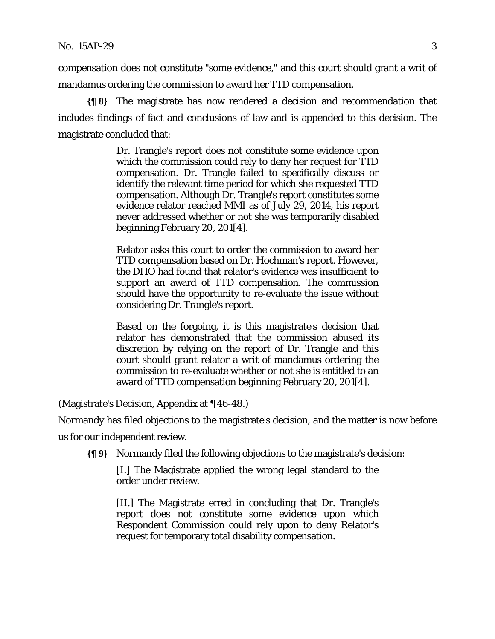compensation does not constitute "some evidence," and this court should grant a writ of mandamus ordering the commission to award her TTD compensation.

**{¶ 8}** The magistrate has now rendered a decision and recommendation that includes findings of fact and conclusions of law and is appended to this decision. The magistrate concluded that:

> Dr. Trangle's report does not constitute some evidence upon which the commission could rely to deny her request for TTD compensation. Dr. Trangle failed to specifically discuss or identify the relevant time period for which she requested TTD compensation. Although Dr. Trangle's report constitutes some evidence relator reached MMI as of July 29, 2014, his report never addressed whether or not she was temporarily disabled beginning February 20, 201[4].

> Relator asks this court to order the commission to award her TTD compensation based on Dr. Hochman's report. However, the DHO had found that relator's evidence was insufficient to support an award of TTD compensation. The commission should have the opportunity to re-evaluate the issue without considering Dr. Trangle's report.

> Based on the forgoing, it is this magistrate's decision that relator has demonstrated that the commission abused its discretion by relying on the report of Dr. Trangle and this court should grant relator a writ of mandamus ordering the commission to re-evaluate whether or not she is entitled to an award of TTD compensation beginning February 20, 201[4].

(Magistrate's Decision, Appendix at ¶ 46-48.)

Normandy has filed objections to the magistrate's decision, and the matter is now before

us for our independent review.

**{¶ 9}** Normandy filed the following objections to the magistrate's decision:

[I.] The Magistrate applied the wrong legal standard to the order under review.

[II.] The Magistrate erred in concluding that Dr. Trangle's report does not constitute some evidence upon which Respondent Commission could rely upon to deny Relator's request for temporary total disability compensation.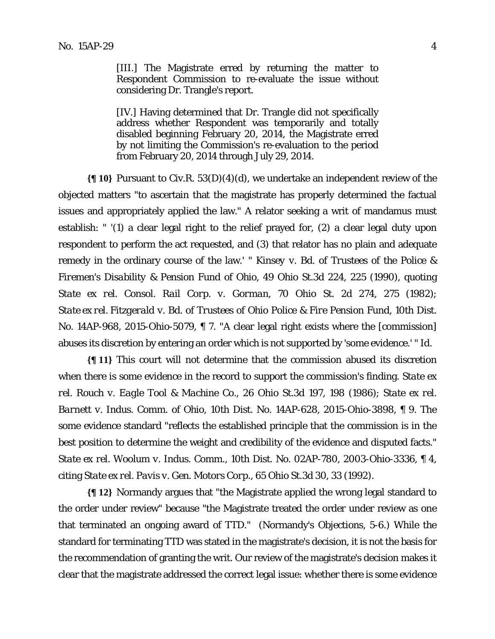[IV.] Having determined that Dr. Trangle did not specifically address whether Respondent was temporarily and totally disabled beginning February 20, 2014, the Magistrate erred by not limiting the Commission's re-evaluation to the period from February 20, 2014 through July 29, 2014.

**{¶ 10}** Pursuant to Civ.R. 53(D)(4)(d), we undertake an independent review of the objected matters "to ascertain that the magistrate has properly determined the factual issues and appropriately applied the law." A relator seeking a writ of mandamus must establish: " '(1) a clear legal right to the relief prayed for, (2) a clear legal duty upon respondent to perform the act requested, and (3) that relator has no plain and adequate remedy in the ordinary course of the law.' " *Kinsey v. Bd. of Trustees of the Police & Firemen's Disability & Pension Fund of Ohio,* 49 Ohio St.3d 224, 225 (1990), quoting *State ex rel. Consol. Rail Corp. v. Gorman*, 70 Ohio St. 2d 274, 275 (1982); *State ex rel. Fitzgerald v. Bd. of Trustees of Ohio Police & Fire Pension Fund,* 10th Dist. No. 14AP-968, 2015-Ohio-5079, ¶ 7. "A clear legal right exists where the [commission] abuses its discretion by entering an order which is not supported by 'some evidence.' " *Id.*

**{¶ 11}** This court will not determine that the commission abused its discretion when there is some evidence in the record to support the commission's finding. *State ex rel. Rouch v. Eagle Tool & Machine Co*., 26 Ohio St.3d 197, 198 (1986); *State ex rel. Barnett v. Indus. Comm. of Ohio,* 10th Dist. No. 14AP-628, 2015-Ohio-3898, ¶ 9. The some evidence standard "reflects the established principle that the commission is in the best position to determine the weight and credibility of the evidence and disputed facts." *State ex rel. Woolum v. Indus. Comm.*, 10th Dist. No. 02AP-780, 2003-Ohio-3336, ¶ 4, citing *State ex rel. Pavis v. Gen. Motors Corp.*, 65 Ohio St.3d 30, 33 (1992).

**{¶ 12}** Normandy argues that "the Magistrate applied the wrong legal standard to the order under review" because "the Magistrate treated the order under review as one that terminated an ongoing award of TTD." (Normandy's Objections, 5-6.) While the standard for terminating TTD was stated in the magistrate's decision, it is not the basis for the recommendation of granting the writ. Our review of the magistrate's decision makes it clear that the magistrate addressed the correct legal issue: whether there is some evidence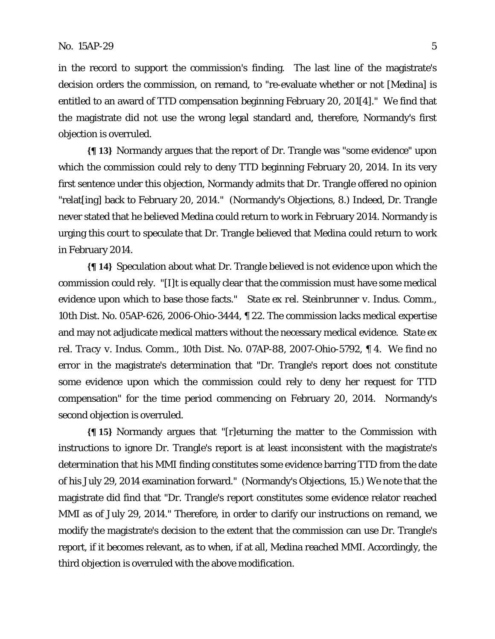in the record to support the commission's finding. The last line of the magistrate's decision orders the commission, on remand, to "re-evaluate whether or not [Medina] is entitled to an award of TTD compensation beginning February 20, 201[4]." We find that the magistrate did not use the wrong legal standard and, therefore, Normandy's first objection is overruled.

**{¶ 13}** Normandy argues that the report of Dr. Trangle was "some evidence" upon which the commission could rely to deny TTD beginning February 20, 2014. In its very first sentence under this objection, Normandy admits that Dr. Trangle offered no opinion "relat[ing] back to February 20, 2014." (Normandy's Objections, 8.) Indeed, Dr. Trangle never stated that he believed Medina could return to work in February 2014. Normandy is urging this court to speculate that Dr. Trangle believed that Medina could return to work in February 2014.

**{¶ 14}** Speculation about what Dr. Trangle believed is not evidence upon which the commission could rely. "[I]t is equally clear that the commission must have some medical evidence upon which to base those facts." *State ex rel. Steinbrunner v. Indus. Comm.,* 10th Dist. No. 05AP-626, 2006-Ohio-3444, ¶ 22. The commission lacks medical expertise and may not adjudicate medical matters without the necessary medical evidence. *State ex rel. Tracy v. Indus. Comm.,* 10th Dist. No. 07AP-88, 2007-Ohio-5792, ¶ 4. We find no error in the magistrate's determination that "Dr. Trangle's report does not constitute some evidence upon which the commission could rely to deny her request for TTD compensation" for the time period commencing on February 20, 2014. Normandy's second objection is overruled.

**{¶ 15}** Normandy argues that "[r]eturning the matter to the Commission with instructions to ignore Dr. Trangle's report is at least inconsistent with the magistrate's determination that his MMI finding constitutes some evidence barring TTD from the date of his July 29, 2014 examination forward." (Normandy's Objections, 15.) We note that the magistrate did find that "Dr. Trangle's report constitutes some evidence relator reached MMI as of July 29, 2014." Therefore, in order to clarify our instructions on remand, we modify the magistrate's decision to the extent that the commission can use Dr. Trangle's report, if it becomes relevant, as to when, if at all, Medina reached MMI. Accordingly, the third objection is overruled with the above modification.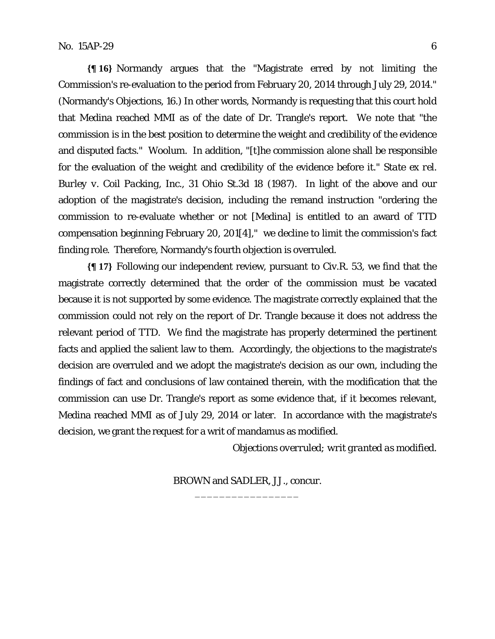**{¶ 16}** Normandy argues that the "Magistrate erred by not limiting the Commission's re-evaluation to the period from February 20, 2014 through July 29, 2014." (Normandy's Objections, 16.) In other words, Normandy is requesting that this court hold that Medina reached MMI as of the date of Dr. Trangle's report. We note that "the commission is in the best position to determine the weight and credibility of the evidence and disputed facts." *Woolum*. In addition, "[t]he commission alone shall be responsible for the evaluation of the weight and credibility of the evidence before it." *State ex rel. Burley v. Coil Packing, Inc.,* 31 Ohio St.3d 18 (1987). In light of the above and our adoption of the magistrate's decision, including the remand instruction "ordering the commission to re-evaluate whether or not [Medina] is entitled to an award of TTD compensation beginning February 20, 201[4]," we decline to limit the commission's fact finding role. Therefore, Normandy's fourth objection is overruled.

**{¶ 17}** Following our independent review, pursuant to Civ.R. 53, we find that the magistrate correctly determined that the order of the commission must be vacated because it is not supported by some evidence. The magistrate correctly explained that the commission could not rely on the report of Dr. Trangle because it does not address the relevant period of TTD. We find the magistrate has properly determined the pertinent facts and applied the salient law to them. Accordingly, the objections to the magistrate's decision are overruled and we adopt the magistrate's decision as our own, including the findings of fact and conclusions of law contained therein, with the modification that the commission can use Dr. Trangle's report as some evidence that, if it becomes relevant, Medina reached MMI as of July 29, 2014 or later. In accordance with the magistrate's decision, we grant the request for a writ of mandamus as modified.

*Objections overruled; writ granted as modified.* 

BROWN and SADLER, JJ., concur. \_\_\_\_\_\_\_\_\_\_\_\_\_\_\_\_\_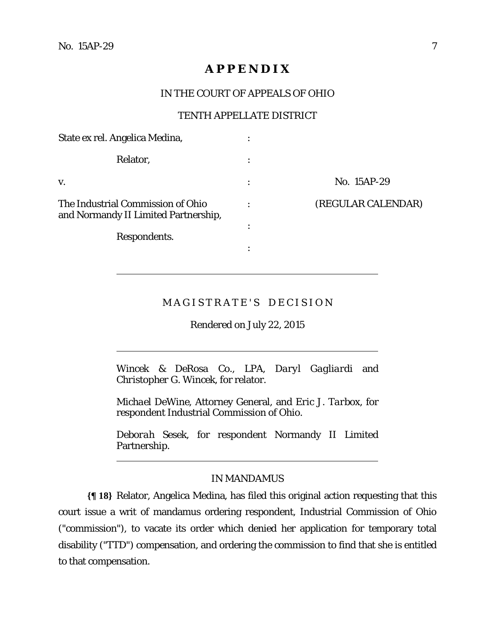$\overline{a}$ 

 $\overline{a}$ 

l

## **A P P E N D I X**

### IN THE COURT OF APPEALS OF OHIO

#### TENTH APPELLATE DISTRICT

| State ex rel. Angelica Medina,                                            | ٠              |                    |
|---------------------------------------------------------------------------|----------------|--------------------|
| Relator,                                                                  |                |                    |
| V.                                                                        | $\ddot{\cdot}$ | No. 15AP-29        |
| The Industrial Commission of Ohio<br>and Normandy II Limited Partnership, |                | (REGULAR CALENDAR) |
| Respondents.                                                              | ٠              |                    |
|                                                                           |                |                    |

## MAGISTRATE'S DECISION

Rendered on July 22, 2015

*Wincek & DeRosa Co., LPA, Daryl Gagliardi* and *Christopher G. Wincek,* for relator.

*Michael DeWine*, Attorney General, and *Eric J. Tarbox,* for respondent Industrial Commission of Ohio.

*Deborah Sesek,* for respondent Normandy II Limited Partnership.

#### IN MANDAMUS

**{¶ 18}** Relator, Angelica Medina, has filed this original action requesting that this court issue a writ of mandamus ordering respondent, Industrial Commission of Ohio ("commission"), to vacate its order which denied her application for temporary total disability ("TTD") compensation, and ordering the commission to find that she is entitled to that compensation.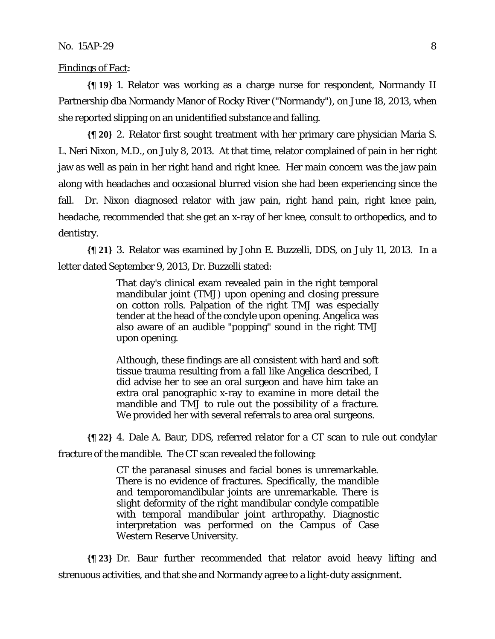Findings of Fact:

**{¶ 19}** 1. Relator was working as a charge nurse for respondent, Normandy II Partnership dba Normandy Manor of Rocky River ("Normandy"), on June 18, 2013, when she reported slipping on an unidentified substance and falling.

**{¶ 20}** 2. Relator first sought treatment with her primary care physician Maria S. L. Neri Nixon, M.D., on July 8, 2013. At that time, relator complained of pain in her right jaw as well as pain in her right hand and right knee. Her main concern was the jaw pain along with headaches and occasional blurred vision she had been experiencing since the fall. Dr. Nixon diagnosed relator with jaw pain, right hand pain, right knee pain, headache, recommended that she get an x-ray of her knee, consult to orthopedics, and to dentistry.

**{¶ 21}** 3. Relator was examined by John E. Buzzelli, DDS, on July 11, 2013. In a letter dated September 9, 2013, Dr. Buzzelli stated:

> That day's clinical exam revealed pain in the right temporal mandibular joint (TMJ) upon opening and closing pressure on cotton rolls. Palpation of the right TMJ was especially tender at the head of the condyle upon opening. Angelica was also aware of an audible "popping" sound in the right TMJ upon opening.

> Although, these findings are all consistent with hard and soft tissue trauma resulting from a fall like Angelica described, I did advise her to see an oral surgeon and have him take an extra oral panographic x-ray to examine in more detail the mandible and TMJ to rule out the possibility of a fracture. We provided her with several referrals to area oral surgeons.

**{¶ 22}** 4. Dale A. Baur, DDS, referred relator for a CT scan to rule out condylar fracture of the mandible. The CT scan revealed the following:

> CT the paranasal sinuses and facial bones is unremarkable. There is no evidence of fractures. Specifically, the mandible and temporomandibular joints are unremarkable. There is slight deformity of the right mandibular condyle compatible with temporal mandibular joint arthropathy. Diagnostic interpretation was performed on the Campus of Case Western Reserve University.

**{¶ 23}** Dr. Baur further recommended that relator avoid heavy lifting and strenuous activities, and that she and Normandy agree to a light-duty assignment.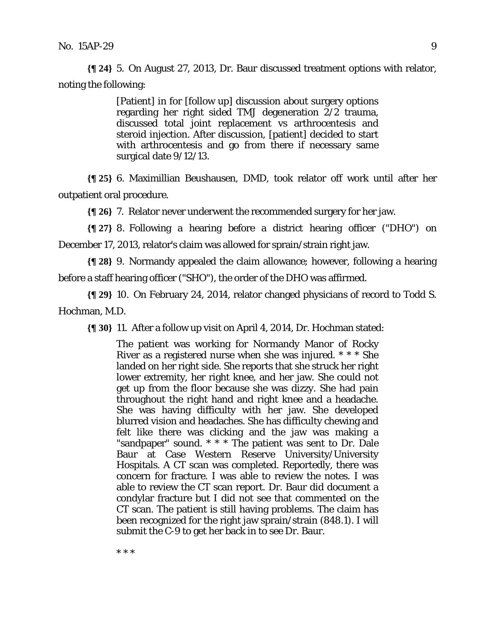**{¶ 24}** 5. On August 27, 2013, Dr. Baur discussed treatment options with relator, noting the following:

> [Patient] in for [follow up] discussion about surgery options regarding her right sided TMJ degeneration 2/2 trauma, discussed total joint replacement vs arthrocentesis and steroid injection. After discussion, [patient] decided to start with arthrocentesis and go from there if necessary same surgical date 9/12/13.

**{¶ 25}** 6. Maximillian Beushausen, DMD, took relator off work until after her outpatient oral procedure.

**{¶ 26}** 7. Relator never underwent the recommended surgery for her jaw.

**{¶ 27}** 8. Following a hearing before a district hearing officer ("DHO") on December 17, 2013, relator's claim was allowed for sprain/strain right jaw.

**{¶ 28}** 9. Normandy appealed the claim allowance; however, following a hearing before a staff hearing officer ("SHO"), the order of the DHO was affirmed.

**{¶ 29}** 10. On February 24, 2014, relator changed physicians of record to Todd S. Hochman, M.D.

**{¶ 30}** 11. After a follow up visit on April 4, 2014, Dr. Hochman stated:

The patient was working for Normandy Manor of Rocky River as a registered nurse when she was injured. \* \* \* She landed on her right side. She reports that she struck her right lower extremity, her right knee, and her jaw. She could not get up from the floor because she was dizzy. She had pain throughout the right hand and right knee and a headache. She was having difficulty with her jaw. She developed blurred vision and headaches. She has difficulty chewing and felt like there was clicking and the jaw was making a "sandpaper" sound. \* \* \* The patient was sent to Dr. Dale Baur at Case Western Reserve University/University Hospitals. A CT scan was completed. Reportedly, there was concern for fracture. I was able to review the notes. I was able to review the CT scan report. Dr. Baur did document a condylar fracture but I did not see that commented on the CT scan. The patient is still having problems. The claim has been recognized for the right jaw sprain/strain (848.1). I will submit the C-9 to get her back in to see Dr. Baur.

\* \* \*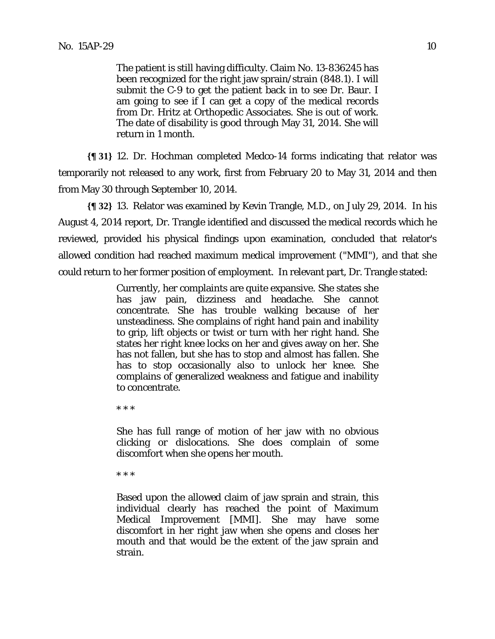The patient is still having difficulty. Claim No. 13-836245 has been recognized for the right jaw sprain/strain (848.1). I will submit the C-9 to get the patient back in to see Dr. Baur. I am going to see if I can get a copy of the medical records from Dr. Hritz at Orthopedic Associates. She is out of work. The date of disability is good through May 31, 2014. She will return in 1 month.

**{¶ 31}** 12. Dr. Hochman completed Medco-14 forms indicating that relator was temporarily not released to any work, first from February 20 to May 31, 2014 and then from May 30 through September 10, 2014.

**{¶ 32}** 13. Relator was examined by Kevin Trangle, M.D., on July 29, 2014. In his August 4, 2014 report, Dr. Trangle identified and discussed the medical records which he reviewed, provided his physical findings upon examination, concluded that relator's allowed condition had reached maximum medical improvement ("MMI"), and that she could return to her former position of employment. In relevant part, Dr. Trangle stated:

> Currently, her complaints are quite expansive. She states she has jaw pain, dizziness and headache. She cannot concentrate. She has trouble walking because of her unsteadiness. She complains of right hand pain and inability to grip, lift objects or twist or turn with her right hand. She states her right knee locks on her and gives away on her. She has not fallen, but she has to stop and almost has fallen. She has to stop occasionally also to unlock her knee. She complains of generalized weakness and fatigue and inability to concentrate.

\* \* \*

She has full range of motion of her jaw with no obvious clicking or dislocations. She does complain of some discomfort when she opens her mouth.

\* \* \*

Based upon the allowed claim of jaw sprain and strain, this individual clearly has reached the point of Maximum Medical Improvement [MMI]. She may have some discomfort in her right jaw when she opens and closes her mouth and that would be the extent of the jaw sprain and strain.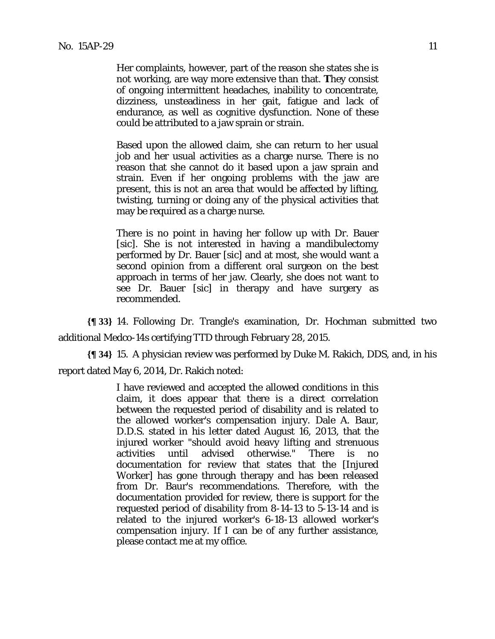Her complaints, however, part of the reason she states she is not working, are way more extensive than that. **T**hey consist of ongoing intermittent headaches, inability to concentrate, dizziness, unsteadiness in her gait, fatigue and lack of endurance, as well as cognitive dysfunction. None of these could be attributed to a jaw sprain or strain.

Based upon the allowed claim, she can return to her usual job and her usual activities as a charge nurse. There is no reason that she cannot do it based upon a jaw sprain and strain. Even if her ongoing problems with the jaw are present, this is not an area that would be affected by lifting, twisting, turning or doing any of the physical activities that may be required as a charge nurse.

There is no point in having her follow up with Dr. Bauer [sic]. She is not interested in having a mandibulectomy performed by Dr. Bauer [sic] and at most, she would want a second opinion from a different oral surgeon on the best approach in terms of her jaw. Clearly, she does not want to see Dr. Bauer [sic] in therapy and have surgery as recommended.

**{¶ 33}** 14. Following Dr. Trangle's examination, Dr. Hochman submitted two additional Medco-14s certifying TTD through February 28, 2015.

**{¶ 34}** 15. A physician review was performed by Duke M. Rakich, DDS, and, in his report dated May 6, 2014, Dr. Rakich noted:

> I have reviewed and accepted the allowed conditions in this claim, it does appear that there is a direct correlation between the requested period of disability and is related to the allowed worker's compensation injury. Dale A. Baur, D.D.S. stated in his letter dated August 16, 2013, that the injured worker "should avoid heavy lifting and strenuous activities until advised otherwise." There is no documentation for review that states that the [Injured Worker] has gone through therapy and has been released from Dr. Baur's recommendations. Therefore, with the documentation provided for review, there is support for the requested period of disability from 8-14-13 to 5-13-14 and is related to the injured worker's 6-18-13 allowed worker's compensation injury. If I can be of any further assistance, please contact me at my office.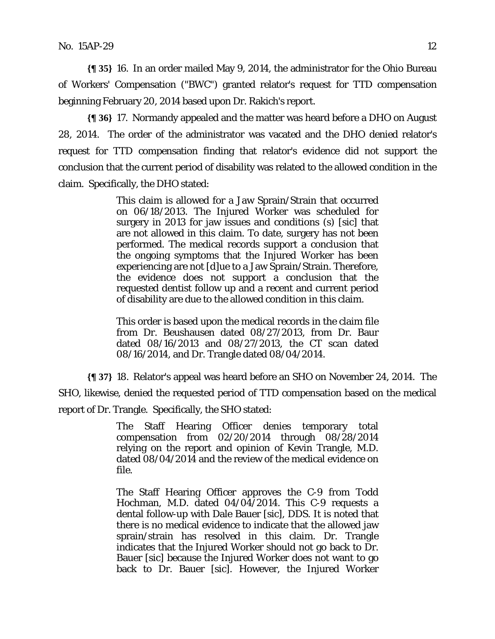**{¶ 35}** 16. In an order mailed May 9, 2014, the administrator for the Ohio Bureau of Workers' Compensation ("BWC") granted relator's request for TTD compensation beginning February 20, 2014 based upon Dr. Rakich's report.

**{¶ 36}** 17. Normandy appealed and the matter was heard before a DHO on August 28, 2014. The order of the administrator was vacated and the DHO denied relator's request for TTD compensation finding that relator's evidence did not support the conclusion that the current period of disability was related to the allowed condition in the claim. Specifically, the DHO stated:

> This claim is allowed for a Jaw Sprain/Strain that occurred on 06/18/2013. The Injured Worker was scheduled for surgery in 2013 for jaw issues and conditions (s) [sic] that are not allowed in this claim. To date, surgery has not been performed. The medical records support a conclusion that the ongoing symptoms that the Injured Worker has been experiencing are not [d]ue to a Jaw Sprain/Strain. Therefore, the evidence does not support a conclusion that the requested dentist follow up and a recent and current period of disability are due to the allowed condition in this claim.

> This order is based upon the medical records in the claim file from Dr. Beushausen dated 08/27/2013, from Dr. Baur dated 08/16/2013 and 08/27/2013, the CT scan dated 08/16/2014, and Dr. Trangle dated 08/04/2014.

**{¶ 37}** 18. Relator's appeal was heard before an SHO on November 24, 2014. The SHO, likewise, denied the requested period of TTD compensation based on the medical report of Dr. Trangle. Specifically, the SHO stated:

> The Staff Hearing Officer denies temporary total compensation from 02/20/2014 through 08/28/2014 relying on the report and opinion of Kevin Trangle, M.D. dated 08/04/2014 and the review of the medical evidence on file.

> The Staff Hearing Officer approves the C-9 from Todd Hochman, M.D. dated 04/04/2014. This C-9 requests a dental follow-up with Dale Bauer [sic], DDS. It is noted that there is no medical evidence to indicate that the allowed jaw sprain/strain has resolved in this claim. Dr. Trangle indicates that the Injured Worker should not go back to Dr. Bauer [sic] because the Injured Worker does not want to go back to Dr. Bauer [sic]. However, the Injured Worker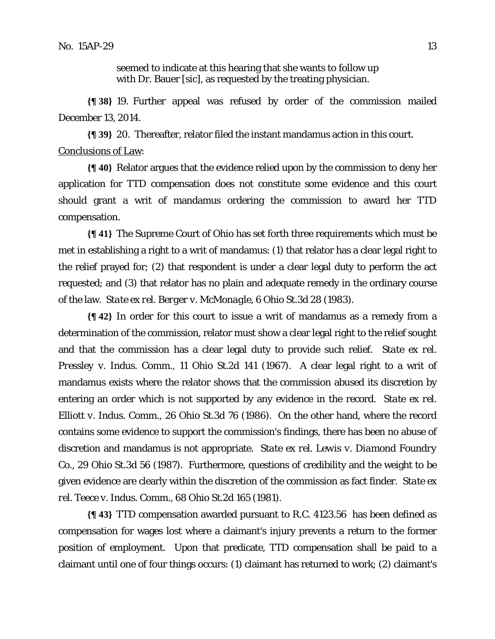seemed to indicate at this hearing that she wants to follow up with Dr. Bauer [sic], as requested by the treating physician.

**{¶ 38}** 19. Further appeal was refused by order of the commission mailed December 13, 2014.

**{¶ 39}** 20. Thereafter, relator filed the instant mandamus action in this court. Conclusions of Law:

**{¶ 40}** Relator argues that the evidence relied upon by the commission to deny her application for TTD compensation does not constitute some evidence and this court should grant a writ of mandamus ordering the commission to award her TTD compensation.

**{¶ 41}** The Supreme Court of Ohio has set forth three requirements which must be met in establishing a right to a writ of mandamus: (1) that relator has a clear legal right to the relief prayed for; (2) that respondent is under a clear legal duty to perform the act requested; and (3) that relator has no plain and adequate remedy in the ordinary course of the law. *State ex rel. Berger v. McMonagle*, 6 Ohio St.3d 28 (1983).

**{¶ 42}** In order for this court to issue a writ of mandamus as a remedy from a determination of the commission, relator must show a clear legal right to the relief sought and that the commission has a clear legal duty to provide such relief. *State ex rel. Pressley v. Indus. Comm.*, 11 Ohio St.2d 141 (1967). A clear legal right to a writ of mandamus exists where the relator shows that the commission abused its discretion by entering an order which is not supported by any evidence in the record. *State ex rel. Elliott v. Indus. Comm.*, 26 Ohio St.3d 76 (1986). On the other hand, where the record contains some evidence to support the commission's findings, there has been no abuse of discretion and mandamus is not appropriate. *State ex rel. Lewis v. Diamond Foundry Co.*, 29 Ohio St.3d 56 (1987). Furthermore, questions of credibility and the weight to be given evidence are clearly within the discretion of the commission as fact finder. *State ex rel. Teece v. Indus. Comm.*, 68 Ohio St.2d 165 (1981).

**{¶ 43}** TTD compensation awarded pursuant to R.C. 4123.56 has been defined as compensation for wages lost where a claimant's injury prevents a return to the former position of employment. Upon that predicate, TTD compensation shall be paid to a claimant until one of four things occurs: (1) claimant has returned to work; (2) claimant's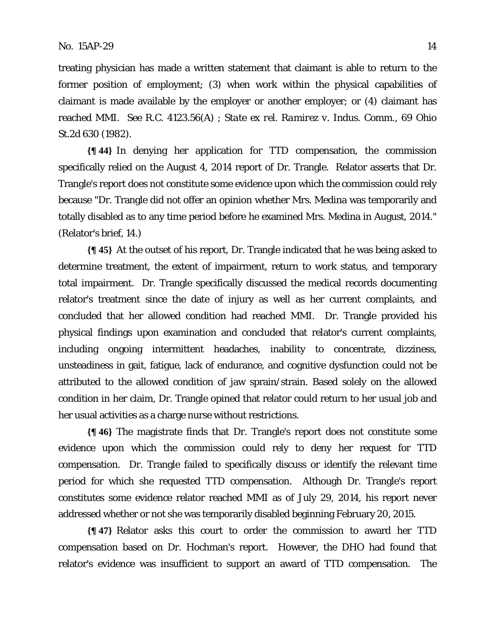treating physician has made a written statement that claimant is able to return to the former position of employment; (3) when work within the physical capabilities of claimant is made available by the employer or another employer; or (4) claimant has reached MMI. *See* R.C. 4123.56(A) ; *State ex rel. Ramirez v. Indus. Comm.*, 69 Ohio St.2d 630 (1982).

**{¶ 44}** In denying her application for TTD compensation, the commission specifically relied on the August 4, 2014 report of Dr. Trangle. Relator asserts that Dr. Trangle's report does not constitute some evidence upon which the commission could rely because "Dr. Trangle did not offer an opinion whether Mrs. Medina was temporarily and totally disabled as to any time period before he examined Mrs. Medina in August, 2014." (Relator's brief, 14.)

**{¶ 45}** At the outset of his report, Dr. Trangle indicated that he was being asked to determine treatment, the extent of impairment, return to work status, and temporary total impairment. Dr. Trangle specifically discussed the medical records documenting relator's treatment since the date of injury as well as her current complaints, and concluded that her allowed condition had reached MMI. Dr. Trangle provided his physical findings upon examination and concluded that relator's current complaints, including ongoing intermittent headaches, inability to concentrate, dizziness, unsteadiness in gait, fatigue, lack of endurance, and cognitive dysfunction could not be attributed to the allowed condition of jaw sprain/strain. Based solely on the allowed condition in her claim, Dr. Trangle opined that relator could return to her usual job and her usual activities as a charge nurse without restrictions.

**{¶ 46}** The magistrate finds that Dr. Trangle's report does not constitute some evidence upon which the commission could rely to deny her request for TTD compensation. Dr. Trangle failed to specifically discuss or identify the relevant time period for which she requested TTD compensation. Although Dr. Trangle's report constitutes some evidence relator reached MMI as of July 29, 2014, his report never addressed whether or not she was temporarily disabled beginning February 20, 2015.

**{¶ 47}** Relator asks this court to order the commission to award her TTD compensation based on Dr. Hochman's report. However, the DHO had found that relator's evidence was insufficient to support an award of TTD compensation. The